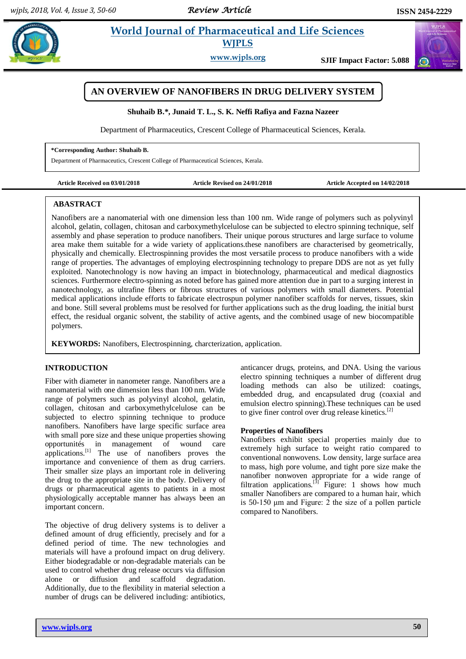# **Example 3** *E* **World Journal of Pharmaceutical and Life Sciences WJPLS**

**www.wjpls.org SJIF Impact Factor: 5.088**



**Shuhaib B.\*, Junaid T. L., S. K. Neffi Rafiya and Fazna Nazeer**

Department of Pharmaceutics, Crescent College of Pharmaceutical Sciences, Kerala.

#### **\*Corresponding Author: Shuhaib B.**

Department of Pharmaceutics, Crescent College of Pharmaceutical Sciences, Kerala.

**Article Received on 03/01/2018 Article Revised on 24/01/2018 Article Accepted on 14/02/2018**

## **ABASTRACT**

Nanofibers are a nanomaterial with one dimension less than 100 nm. Wide range of polymers such as polyvinyl alcohol, gelatin, collagen, chitosan and carboxymethylcelulose can be subjected to electro spinning technique, self assembly and phase seperation to produce nanofibers. Their unique porous structures and large surface to volume area make them suitable for a wide variety of applications.these nanofibers are characterised by geometrically, physically and chemically. Electrospinning provides the most versatile process to produce nanofibers with a wide range of properties. The advantages of employing electrospinning technology to prepare DDS are not as yet fully exploited. Nanotechnology is now having an impact in biotechnology, pharmaceutical and medical diagnostics sciences. Furthermore electro-spinning as noted before has gained more attention due in part to a surging interest in nanotechnology, as ultrafine fibers or fibrous structures of various polymers with small diameters. Potential medical applications include efforts to fabricate electrospun polymer nanofiber scaffolds for nerves, tissues, skin and bone. Still several problems must be resolved for further applications such as the drug loading, the initial burst effect, the residual organic solvent, the stability of active agents, and the combined usage of new biocompatible polymers.

**KEYWORDS:** Nanofibers, Electrospinning, charcterization, application.

# **INTRODUCTION**

Fiber with diameter in nanometer range. Nanofibers are a nanomaterial with one dimension less than 100 nm. Wide range of polymers such as polyvinyl alcohol, gelatin, collagen, chitosan and carboxymethylcelulose can be subjected to electro spinning technique to produce nanofibers. Nanofibers have large specific surface area with small pore size and these unique properties showing opportunités in management of wound care applications.<sup>[1]</sup> The use of nanofibers proves the importance and convenience of them as drug carriers. Their smaller size plays an important role in delivering the drug to the appropriate site in the body. Delivery of drugs or pharmaceutical agents to patients in a most physiologically acceptable manner has always been an important concern.

The objective of drug delivery systems is to deliver a defined amount of drug efficiently, precisely and for a defined period of time. The new technologies and materials will have a profound impact on drug delivery. Either biodegradable or non-degradable materials can be used to control whether drug release occurs via diffusion alone or diffusion and scaffold degradation. Additionally, due to the flexibility in material selection a number of drugs can be delivered including: antibiotics,

anticancer drugs, proteins, and DNA. Using the various electro spinning techniques a number of different drug loading methods can also be utilized: coatings, embedded drug, and encapsulated drug (coaxial and emulsion electro spinning).These techniques can be used to give finer control over drug release kinetics.<sup>[2]</sup>

### **Properties of Nanofibers**

Nanofibers exhibit special properties mainly due to extremely high surface to weight ratio compared to conventional nonwovens. Low density, large surface area to mass, high pore volume, and tight pore size make the nanofiber nonwoven appropriate for a wide range of filtration applications.<sup>[3]</sup> Figure: 1 shows how much smaller Nanofibers are compared to a human hair, which is 50-150 μm and Figure: 2 the size of a pollen particle compared to Nanofibers.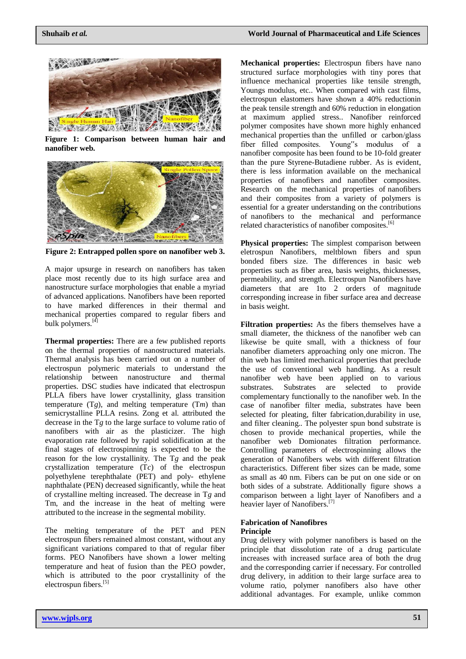

**Figure 1: Comparison between human hair and nanofiber web.**



**Figure 2: Entrapped pollen spore on nanofiber web 3.**

A major upsurge in research on nanofibers has taken place most recently due to its high surface area and nanostructure surface morphologies that enable a myriad of advanced applications. Nanofibers have been reported to have marked differences in their thermal and mechanical properties compared to regular fibers and bulk polymers.<sup>[4]</sup>

**Thermal properties:** There are a few published reports on the thermal properties of nanostructured materials. Thermal analysis has been carried out on a number of electrospun polymeric materials to understand the relationship between nanostructure and thermal properties. DSC studies have indicated that electrospun PLLA fibers have lower crystallinity, glass transition temperature  $(Tg)$ , and melting temperature  $(Tm)$  than semicrystalline PLLA resins. Zong et al. attributed the decrease in the T*g* to the large surface to volume ratio of nanofibers with air as the plasticizer. The high evaporation rate followed by rapid solidification at the final stages of electrospinning is expected to be the reason for the low crystallinity. The T*g* and the peak crystallization temperature (T*c*) of the electrospun polyethylene terephthalate (PET) and poly- ethylene naphthalate (PEN) decreased significantly, while the heat of crystalline melting increased. The decrease in T*g* and Tm, and the increase in the heat of melting were attributed to the increase in the segmental mobility.

The melting temperature of the PET and PEN electrospun fibers remained almost constant, without any significant variations compared to that of regular fiber forms. PEO Nanofibers have shown a lower melting temperature and heat of fusion than the PEO powder, which is attributed to the poor crystallinity of the electrospun fibers.<sup>[5]</sup>

**Mechanical properties:** Electrospun fibers have nano structured surface morphologies with tiny pores that influence mechanical properties like tensile strength, Youngs modulus, etc.. When compared with cast films, electrospun elastomers have shown a 40% reductionin the peak tensile strength and 60% reduction in elongation at maximum applied stress.. Nanofiber reinforced polymer composites have shown more highly enhanced mechanical properties than the unfilled or carbon/glass fiber filled composites. Young"s modulus of a nanofiber composite has been found to be 10-fold greater than the pure Styrene-Butadiene rubber. As is evident, there is less information available on the mechanical properties of nanofibers and nanofiber composites. Research on the mechanical properties of nanofibers and their composites from a variety of polymers is essential for a greater understanding on the contributions of nanofibers to the mechanical and performance related characteristics of nanofiber composites.<sup>[6]</sup>

**Physical properties:** The simplest comparison between eletrospun Nanofibers, meltblown fibers and spun bonded fibers size. The differences in basic web properties such as fiber area, basis weights, thicknesses, permeability, and strength. Electrospun Nanofibers have diameters that are 1to 2 orders of magnitude corresponding increase in fiber surface area and decrease in basis weight.

**Filtration properties:** As the fibers themselves have a small diameter, the thickness of the nanofiber web can likewise be quite small, with a thickness of four nanofiber diameters approaching only one micron. The thin web has limited mechanical properties that preclude the use of conventional web handling. As a result nanofiber web have been applied on to various substrates. Substrates are selected to provide complementary functionally to the nanofiber web. In the case of nanofiber filter media, substrates have been selected for pleating, filter fabrication,durability in use, and filter cleaning.. The polyester spun bond substrate is chosen to provide mechanical properties, while the nanofiber web Domionates filtration performance. Controlling parameters of electrospinning allows the generation of Nanofibers webs with different filtration characteristics. Different fiber sizes can be made, some as small as 40 nm. Fibers can be put on one side or on both sides of a substrate. Additionally figure shows a comparison between a light layer of Nanofibers and a heavier layer of Nanofibers.<sup>[7]</sup>

# **Fabrication of Nanofibres**

# **Principle**

Drug delivery with polymer nanofibers is based on the principle that dissolution rate of a drug particulate increases with increased surface area of both the drug and the corresponding carrier if necessary. For controlled drug delivery, in addition to their large surface area to volume ratio, polymer nanofibers also have other additional advantages. For example, unlike common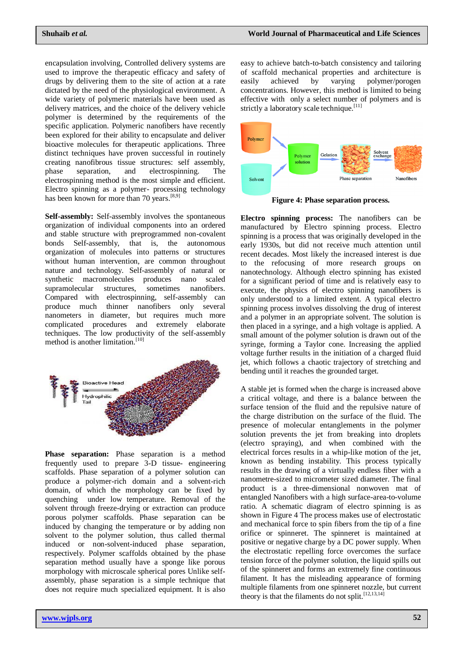encapsulation involving, Controlled delivery systems are used to improve the therapeutic efficacy and safety of drugs by delivering them to the site of action at a rate dictated by the need of the physiological environment. A wide variety of polymeric materials have been used as delivery matrices, and the choice of the delivery vehicle polymer is determined by the requirements of the specific application. Polymeric nanofibers have recently been explored for their ability to encapsulate and deliver bioactive molecules for therapeutic applications. Three distinct techniques have proven successful in routinely creating nanofibrous tissue structures: self assembly, phase separation, and electrospinning. The electrospinning method is the most simple and efficient. Electro spinning as a polymer- processing technology has been known for more than 70 years.<sup>[8,9]</sup>

**Self-assembly:** Self-assembly involves the spontaneous organization of individual components into an ordered and stable structure with preprogrammed non-covalent bonds Self-assembly, that is, the autonomous organization of molecules into patterns or structures without human intervention, are common throughout nature and technology. Self-assembly of natural or synthetic macromolecules produces nano scaled supramolecular structures, sometimes nanofibers. Compared with electrospinning, self-assembly can produce much thinner nanofibers only several nanometers in diameter, but requires much more complicated procedures and extremely elaborate techniques. The low productivity of the self-assembly method is another limitation.<sup>[10]</sup>



**Phase separation:** Phase separation is a method frequently used to prepare 3-D tissue- engineering scaffolds. Phase separation of a polymer solution can produce a polymer-rich domain and a solvent-rich domain, of which the morphology can be fixed by quenching under low temperature. Removal of the solvent through freeze-drying or extraction can produce porous polymer scaffolds. Phase separation can be induced by changing the temperature or by adding non solvent to the polymer solution, thus called thermal induced or non-solvent-induced phase separation, respectively. Polymer scaffolds obtained by the phase separation method usually have a sponge like porous morphology with microscale spherical pores Unlike selfassembly, phase separation is a simple technique that does not require much specialized equipment. It is also easy to achieve batch-to-batch consistency and tailoring of scaffold mechanical properties and architecture is easily achieved by varying polymer/porogen concentrations. However, this method is limited to being effective with only a select number of polymers and is strictly a laboratory scale technique.<sup>[11]</sup>



**Figure 4: Phase separation process.**

**Electro spinning process:** The nanofibers can be manufactured by Electro spinning process. Electro spinning is a process that was originally developed in the early 1930s, but did not receive much attention until recent decades. Most likely the increased interest is due to the refocusing of more research groups on nanotechnology. Although electro spinning has existed for a significant period of time and is relatively easy to execute, the physics of electro spinning nanofibers is only understood to a limited extent. A typical electro spinning process involves dissolving the drug of interest and a polymer in an appropriate solvent. The solution is then placed in a syringe, and a high voltage is applied. A small amount of the polymer solution is drawn out of the syringe, forming a Taylor cone. Increasing the applied voltage further results in the initiation of a charged fluid jet, which follows a chaotic trajectory of stretching and bending until it reaches the grounded target.

A stable jet is formed when the charge is increased above a critical voltage, and there is a balance between the surface tension of the fluid and the repulsive nature of the charge distribution on the surface of the fluid. The presence of molecular entanglements in the polymer solution prevents the jet from breaking into droplets (electro spraying), and when combined with the electrical forces results in a whip-like motion of the jet, known as bending instability. This process typically results in the drawing of a virtually endless fiber with a nanometre-sized to micrometer sized diameter. The final product is a three-dimensional nonwoven mat of entangled Nanofibers with a high surface-area-to-volume ratio. A schematic diagram of electro spinning is as shown in Figure 4 The process makes use of electrostatic and mechanical force to spin fibers from the tip of a fine orifice or spinneret. The spinneret is maintained at positive or negative charge by a DC power supply. When the electrostatic repelling force overcomes the surface tension force of the polymer solution, the liquid spills out of the spinneret and forms an extremely fine continuous filament. It has the misleading appearance of forming multiple filaments from one spinneret nozzle, but current theory is that the filaments do not split.  $[12,13,14]$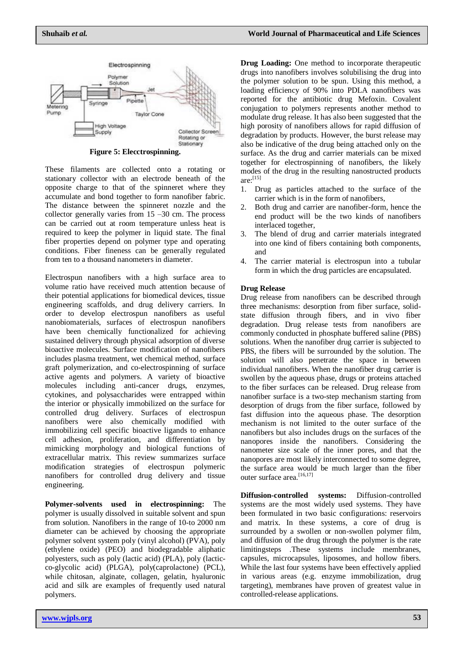

**Figure 5: Elecctrospinning.**

These filaments are collected onto a rotating or stationary collector with an electrode beneath of the opposite charge to that of the spinneret where they accumulate and bond together to form nanofiber fabric. The distance between the spinneret nozzle and the collector generally varies from 15 –30 cm. The process can be carried out at room temperature unless heat is required to keep the polymer in liquid state. The final fiber properties depend on polymer type and operating conditions. Fiber fineness can be generally regulated from ten to a thousand nanometers in diameter.

Electrospun nanofibers with a high surface area to volume ratio have received much attention because of their potential applications for biomedical devices, tissue engineering scaffolds, and drug delivery carriers. In order to develop electrospun nanofibers as useful nanobiomaterials, surfaces of electrospun nanofibers have been chemically functionalized for achieving sustained delivery through physical adsorption of diverse bioactive molecules. Surface modification of nanofibers includes plasma treatment, wet chemical method, surface graft polymerization, and co-electrospinning of surface active agents and polymers. A variety of bioactive molecules including anti-cancer drugs, enzymes, cytokines, and polysaccharides were entrapped within the interior or physically immobilized on the surface for controlled drug delivery. Surfaces of electrospun nanofibers were also chemically modified with immobilizing cell specific bioactive ligands to enhance cell adhesion, proliferation, and differentiation by mimicking morphology and biological functions of extracellular matrix. This review summarizes surface modification strategies of electrospun polymeric nanofibers for controlled drug delivery and tissue engineering.

**Polymer-solvents used in electrospinning:** The polymer is usually dissolved in suitable solvent and spun from solution. Nanofibers in the range of 10-to 2000 nm diameter can be achieved by choosing the appropriate polymer solvent system poly (vinyl alcohol) (PVA), poly (ethylene oxide) (PEO) and biodegradable aliphatic polyesters, such as poly (lactic acid) (PLA), poly (lacticco-glycolic acid) (PLGA), poly(caprolactone) (PCL), while chitosan, alginate, collagen, gelatin, hyaluronic acid and silk are examples of frequently used natural polymers.

**Drug Loading:** One method to incorporate therapeutic drugs into nanofibers involves solubilising the drug into the polymer solution to be spun. Using this method, a loading efficiency of 90% into PDLA nanofibers was reported for the antibiotic drug Mefoxin. Covalent conjugation to polymers represents another method to modulate drug release. It has also been suggested that the high porosity of nanofibers allows for rapid diffusion of degradation by products. However, the burst release may also be indicative of the drug being attached only on the surface. As the drug and carrier materials can be mixed together for electrospinning of nanofibers, the likely modes of the drug in the resulting nanostructed products  $are:$ <sup>[15]</sup>

- 1. Drug as particles attached to the surface of the carrier which is in the form of nanofibers,
- 2. Both drug and carrier are nanofiber-form, hence the end product will be the two kinds of nanofibers interlaced together,
- 3. The blend of drug and carrier materials integrated into one kind of fibers containing both components, and
- 4. The carrier material is electrospun into a tubular form in which the drug particles are encapsulated.

#### **Drug Release**

Drug release from nanofibers can be described through three mechanisms: desorption from fiber surface, solidstate diffusion through fibers, and in vivo fiber degradation. Drug release tests from nanofibers are commonly conducted in phosphate buffered saline (PBS) solutions. When the nanofiber drug carrier is subjected to PBS, the fibers will be surrounded by the solution. The solution will also penetrate the space in between individual nanofibers. When the nanofiber drug carrier is swollen by the aqueous phase, drugs or proteins attached to the fiber surfaces can be released. Drug release from nanofiber surface is a two-step mechanism starting from desorption of drugs from the fiber surface, followed by fast diffusion into the aqueous phase. The desorption mechanism is not limited to the outer surface of the nanofibers but also includes drugs on the surfaces of the nanopores inside the nanofibers. Considering the nanometer size scale of the inner pores, and that the nanopores are most likely interconnected to some degree, the surface area would be much larger than the fiber outer surface area.<sup>[16,17]</sup>

**Diffusion-controlled systems:** Diffusion-controlled systems are the most widely used systems. They have been formulated in two basic configurations: reservoirs and matrix. In these systems, a core of drug is surrounded by a swollen or non-swollen polymer film, and diffusion of the drug through the polymer is the rate limitingsteps .These systems include membranes, capsules, microcapsules, liposomes, and hollow fibers. While the last four systems have been effectively applied in various areas (e.g. enzyme immobilization, drug targeting), membranes have proven of greatest value in controlled-release applications.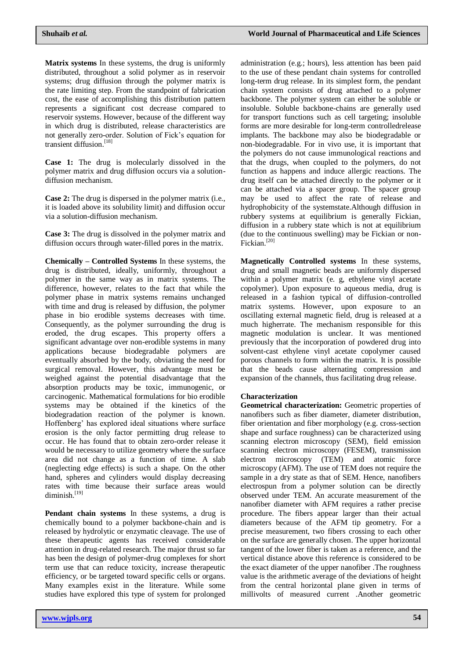**Matrix systems** In these systems, the drug is uniformly distributed, throughout a solid polymer as in reservoir systems; drug diffusion through the polymer matrix is the rate limiting step. From the standpoint of fabrication cost, the ease of accomplishing this distribution pattern represents a significant cost decrease compared to reservoir systems. However, because of the different way in which drug is distributed, release characteristics are not generally zero-order. Solution of Fick"s equation for transient diffusion. [18]

**Case 1:** The drug is molecularly dissolved in the polymer matrix and drug diffusion occurs via a solutiondiffusion mechanism.

**Case 2:** The drug is dispersed in the polymer matrix (i.e., it is loaded above its solubility limit) and diffusion occur via a solution-diffusion mechanism.

**Case 3:** The drug is dissolved in the polymer matrix and diffusion occurs through water-filled pores in the matrix.

**Chemically – Controlled Systems** In these systems, the drug is distributed, ideally, uniformly, throughout a polymer in the same way as in matrix systems. The difference, however, relates to the fact that while the polymer phase in matrix systems remains unchanged with time and drug is released by diffusion, the polymer phase in bio erodible systems decreases with time. Consequently, as the polymer surrounding the drug is eroded, the drug escapes. This property offers a significant advantage over non-erodible systems in many applications because biodegradable polymers are eventually absorbed by the body, obviating the need for surgical removal. However, this advantage must be weighed against the potential disadvantage that the absorption products may be toxic, immunogenic, or carcinogenic. Mathematical formulations for bio erodible systems may be obtained if the kinetics of the biodegradation reaction of the polymer is known. Hoffenberg" has explored ideal situations where surface erosion is the only factor permitting drug release to occur. He has found that to obtain zero-order release it would be necessary to utilize geometry where the surface area did not change as a function of time. A slab (neglecting edge effects) is such a shape. On the other hand, spheres and cylinders would display decreasing rates with time because their surface areas would diminish.<sup>[19]</sup>

**Pendant chain systems** In these systems, a drug is chemically bound to a polymer backbone-chain and is released by hydrolytic or enzymatic cleavage. The use of these therapeutic agents has received considerable attention in drug-related research. The major thrust so far has been the design of polymer-drug complexes for short term use that can reduce toxicity, increase therapeutic efficiency, or be targeted toward specific cells or organs. Many examples exist in the literature. While some studies have explored this type of system for prolonged

administration (e.g.; hours), less attention has been paid to the use of these pendant chain systems for controlled long-term drug release. In its simplest form, the pendant chain system consists of drug attached to a polymer backbone. The polymer system can either be soluble or insoluble. Soluble backbone-chains are generally used for transport functions such as cell targeting; insoluble forms are more desirable for long-term controlledrelease implants. The backbone may also be biodegradable or non-biodegradable. For in vivo use, it is important that the polymers do not cause immunological reactions and that the drugs, when coupled to the polymers, do not function as happens and induce allergic reactions. The drug itself can be attached directly to the polymer or it can be attached via a spacer group. The spacer group may be used to affect the rate of release and hydrophobicity of the systemstate.Although diffusion in rubbery systems at equilibrium is generally Fickian, diffusion in a rubbery state which is not at equilibrium (due to the continuous swelling) may be Fickian or non-Fickian.<sup>[20]</sup>

**Magnetically Controlled systems** In these systems, drug and small magnetic beads are uniformly dispersed within a polymer matrix (e. g, ethylene vinyl acetate copolymer). Upon exposure to aqueous media, drug is released in a fashion typical of diffusion-controlled matrix systems. However, upon exposure to an oscillating external magnetic field, drug is released at a much higherrate. The mechanism responsible for this magnetic modulation is unclear. It was mentioned previously that the incorporation of powdered drug into solvent-cast ethylene vinyl acetate copolymer caused porous channels to form within the matrix. It is possible that the beads cause alternating compression and expansion of the channels, thus facilitating drug release.

### **Characterization**

**Geometrical characterization:** Geometric properties of nanofibers such as fiber diameter, diameter distribution, fiber orientation and fiber morphology (e.g. cross-section shape and surface roughness) can be characterized using scanning electron microscopy (SEM), field emission scanning electron microscopy (FESEM), transmission electron microscopy (TEM) and atomic force microscopy (AFM). The use of TEM does not require the sample in a dry state as that of SEM. Hence, nanofibers electrospun from a polymer solution can be directly observed under TEM. An accurate measurement of the nanofiber diameter with AFM requires a rather precise procedure. The fibers appear larger than their actual diameters because of the AFM tip geometry. For a precise measurement, two fibers crossing to each other on the surface are generally chosen. The upper horizontal tangent of the lower fiber is taken as a reference, and the vertical distance above this reference is considered to be the exact diameter of the upper nanofiber .The roughness value is the arithmetic average of the deviations of height from the central horizontal plane given in terms of millivolts of measured current .Another geometric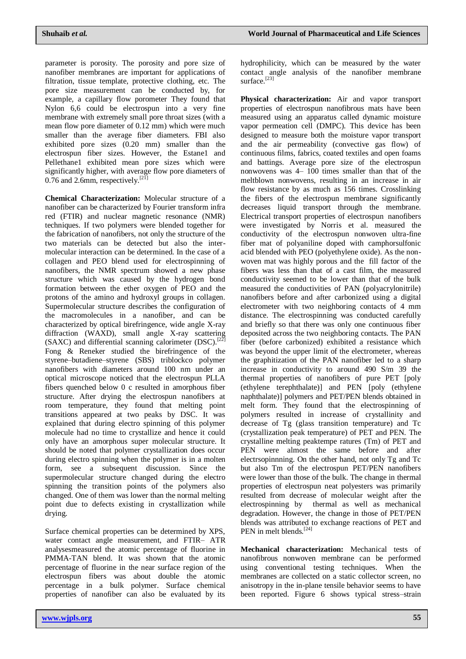parameter is porosity. The porosity and pore size of nanofiber membranes are important for applications of filtration, tissue template, protective clothing, etc. The pore size measurement can be conducted by, for example, a capillary flow porometer They found that Nylon 6,6 could be electrospun into a very fine membrane with extremely small pore throat sizes (with a mean flow pore diameter of 0.12 mm) which were much smaller than the average fiber diameters. FBI also exhibited pore sizes (0.20 mm) smaller than the electrospun fiber sizes. However, the Estane1 and Pellethane1 exhibited mean pore sizes which were significantly higher, with average flow pore diameters of 0.76 and 2.6mm, respectively.<sup>[21]</sup>

**Chemical Characterization:** Molecular structure of a nanofiber can be characterized by Fourier transform infra red (FTIR) and nuclear magnetic resonance (NMR) techniques. If two polymers were blended together for the fabrication of nanofibers, not only the structure of the two materials can be detected but also the intermolecular interaction can be determined. In the case of a collagen and PEO blend used for electrospinning of nanofibers, the NMR spectrum showed a new phase structure which was caused by the hydrogen bond formation between the ether oxygen of PEO and the protons of the amino and hydroxyl groups in collagen. Supermolecular structure describes the configuration of the macromolecules in a nanofiber, and can be characterized by optical birefringence, wide angle X-ray diffraction (WAXD), small angle X-ray scattering (SAXC) and differential scanning calorimeter  $(DSC)$ .<sup>[22]</sup> Fong & Reneker studied the birefringence of the styrene–butadiene–styrene (SBS) triblockco polymer nanofibers with diameters around 100 nm under an optical microscope noticed that the electrospun PLLA fibers quenched below 0 c resulted in amorphous fiber structure. After drying the electrospun nanofibers at room temperature, they found that melting point transitions appeared at two peaks by DSC. It was explained that during electro spinning of this polymer molecule had no time to crystallize and hence it could only have an amorphous super molecular structure. It should be noted that polymer crystallization does occur during electro spinning when the polymer is in a molten form, see a subsequent discussion. Since the supermolecular structure changed during the electro spinning the transition points of the polymers also changed. One of them was lower than the normal melting point due to defects existing in crystallization while drying.

Surface chemical properties can be determined by XPS, water contact angle measurement, and FTIR– ATR analysesmeasured the atomic percentage of fluorine in PMMA-TAN blend. It was shown that the atomic percentage of fluorine in the near surface region of the electrospun fibers was about double the atomic percentage in a bulk polymer. Surface chemical properties of nanofiber can also be evaluated by its

**Physical characterization:** Air and vapor transport properties of electrospun nanofibrous mats have been measured using an apparatus called dynamic moisture vapor permeation cell (DMPC). This device has been designed to measure both the moisture vapor transport and the air permeability (convective gas flow) of continuous films, fabrics, coated textiles and open foams and battings. Average pore size of the electrospun nonwovens was 4– 100 times smaller than that of the meltblown nonwovens, resulting in an increase in air flow resistance by as much as 156 times. Crosslinking the fibers of the electrospun membrane significantly decreases liquid transport through the membrane. Electrical transport properties of electrospun nanofibers were investigated by Norris et al. measured the conductivity of the electrospun nonwoven ultra-fine fiber mat of polyaniline doped with camphorsulfonic acid blended with PEO (polyethylene oxide). As the nonwoven mat was highly porous and the fill factor of the fibers was less than that of a cast film, the measured conductivity seemed to be lower than that of the bulk measured the conductivities of PAN (polyacrylonitrile) nanofibers before and after carbonized using a digital electrometer with two neighboring contacts of 4 mm distance. The electrospinning was conducted carefully and briefly so that there was only one continuous fiber deposited across the two neighboring contacts. The PAN fiber (before carbonized) exhibited a resistance which was beyond the upper limit of the electrometer, whereas the graphitization of the PAN nanofiber led to a sharp increase in conductivity to around 490 S/m 39 the thermal properties of nanofibers of pure PET [poly (ethylene terephthalate)] and PEN [poly (ethylene naphthalate)] polymers and PET/PEN blends obtained in melt form. They found that the electrospinning of polymers resulted in increase of crystallinity and decrease of Tg (glass transition temperature) and Tc (crystallization peak temperature) of PET and PEN. The crystalline melting peaktempe ratures (Tm) of PET and PEN were almost the same before and after electrsopinnning. On the other hand, not only Tg and Tc but also Tm of the electrospun PET/PEN nanofibers were lower than those of the bulk. The change in thermal properties of electrospun neat polyesters was primarily resulted from decrease of molecular weight after the electrospinning by thermal as well as mechanical degradation. However, the change in those of PET/PEN blends was attributed to exchange reactions of PET and PEN in melt blends.<sup>[24]</sup>

**Mechanical characterization:** Mechanical tests of nanofibrous nonwoven membrane can be performed using conventional testing techniques. When the membranes are collected on a static collector screen, no anisotropy in the in-plane tensile behavior seems to have been reported. Figure 6 shows typical stress–strain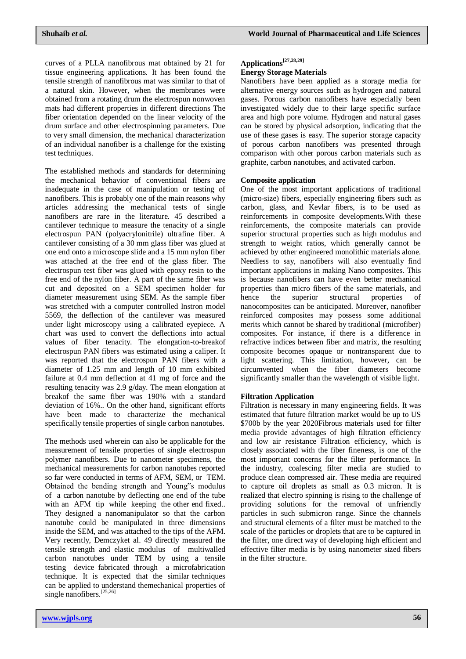curves of a PLLA nanofibrous mat obtained by 21 for tissue engineering applications. It has been found the tensile strength of nanofibrous mat was similar to that of a natural skin. However, when the membranes were obtained from a rotating drum the electrospun nonwoven mats had different properties in different directions The fiber orientation depended on the linear velocity of the drum surface and other electrospinning parameters. Due to very small dimension, the mechanical characterization of an individual nanofiber is a challenge for the existing test techniques.

The established methods and standards for determining the mechanical behavior of conventional fibers are inadequate in the case of manipulation or testing of nanofibers. This is probably one of the main reasons why articles addressing the mechanical tests of single nanofibers are rare in the literature. 45 described a cantilever technique to measure the tenacity of a single electrospun PAN (polyacrylonitrile) ultrafine fiber. A cantilever consisting of a 30 mm glass fiber was glued at one end onto a microscope slide and a 15 mm nylon fiber was attached at the free end of the glass fiber. The electrospun test fiber was glued with epoxy resin to the free end of the nylon fiber. A part of the same fiber was cut and deposited on a SEM specimen holder for diameter measurement using SEM. As the sample fiber was stretched with a computer controlled Instron model 5569, the deflection of the cantilever was measured under light microscopy using a calibrated eyepiece. A chart was used to convert the deflections into actual values of fiber tenacity. The elongation-to-breakof electrospun PAN fibers was estimated using a caliper. It was reported that the electrospun PAN fibers with a diameter of 1.25 mm and length of 10 mm exhibited failure at 0.4 mm deflection at 41 mg of force and the resulting tenacity was 2.9 g/day. The mean elongation at breakof the same fiber was 190% with a standard deviation of 16%.. On the other hand, significant efforts have been made to characterize the mechanical specifically tensile properties of single carbon nanotubes.

The methods used wherein can also be applicable for the measurement of tensile properties of single electrospun polymer nanofibers. Due to nanometer specimens, the mechanical measurements for carbon nanotubes reported so far were conducted in terms of AFM, SEM, or TEM. Obtained the bending strength and Young"s modulus of a carbon nanotube by deflecting one end of the tube with an AFM tip while keeping the other end fixed.. They designed a nanomanipulator so that the carbon nanotube could be manipulated in three dimensions inside the SEM, and was attached to the tips of the AFM. Very recently, Demczyket al. 49 directly measured the tensile strength and elastic modulus of multiwalled carbon nanotubes under TEM by using a tensile testing device fabricated through a microfabrication technique. It is expected that the similar techniques can be applied to understand themechanical properties of single nanofibers.<sup>[25,26]</sup>

# **Applications[27,28,29]**

# **Energy Storage Materials**

Nanofibers have been applied as a storage media for alternative energy sources such as hydrogen and natural gases. Porous carbon nanofibers have especially been investigated widely due to their large specific surface area and high pore volume. Hydrogen and natural gases can be stored by physical adsorption, indicating that the use of these gases is easy. The superior storage capacity of porous carbon nanofibers was presented through comparison with other porous carbon materials such as graphite, carbon nanotubes, and activated carbon.

# **Composite application**

One of the most important applications of traditional (micro-size) fibers, especially engineering fibers such as carbon, glass, and Kevlar fibers, is to be used as reinforcements in composite developments.With these reinforcements, the composite materials can provide superior structural properties such as high modulus and strength to weight ratios, which generally cannot be achieved by other engineered monolithic materials alone. Needless to say, nanofibers will also eventually find important applications in making Nano composites. This is because nanofibers can have even better mechanical properties than micro fibers of the same materials, and hence the superior structural properties of nanocomposites can be anticipated. Moreover, nanofiber reinforced composites may possess some additional merits which cannot be shared by traditional (microfiber) composites. For instance, if there is a difference in refractive indices between fiber and matrix, the resulting composite becomes opaque or nontransparent due to light scattering. This limitation, however, can be circumvented when the fiber diameters become significantly smaller than the wavelength of visible light.

### **Filtration Application**

Filtration is necessary in many engineering fields. It was estimated that future filtration market would be up to US \$700b by the year 2020Fibrous materials used for filter media provide advantages of high filtration efficiency and low air resistance Filtration efficiency, which is closely associated with the fiber fineness, is one of the most important concerns for the filter performance. In the industry, coalescing filter media are studied to produce clean compressed air. These media are required to capture oil droplets as small as 0.3 micron. It is realized that electro spinning is rising to the challenge of providing solutions for the removal of unfriendly particles in such submicron range. Since the channels and structural elements of a filter must be matched to the scale of the particles or droplets that are to be captured in the filter, one direct way of developing high efficient and effective filter media is by using nanometer sized fibers in the filter structure.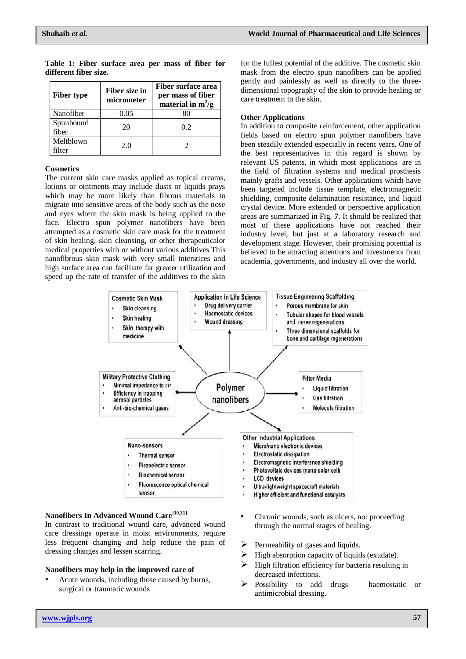| <b>Fiber type</b>  | Fiber size in<br>micrometer | Fiber surface area<br>per mass of fiber<br>material in $m^2/g$ |
|--------------------|-----------------------------|----------------------------------------------------------------|
| Nanofiber          | 0.05                        | 80                                                             |
| Spunbound<br>fiber | 20                          | 0.2                                                            |
| Meltblown<br>ilter | 20                          |                                                                |

**Table 1: Fiber surface area per mass of fiber for different fiber size.**

### **Cosmetics**

The current skin care masks applied as topical creams, lotions or ointments may include dusts or liquids prays which may be more likely than fibrous materials to migrate into sensitive areas of the body such as the nose and eyes where the skin mask is being applied to the face. Electro spun polymer nanofibers have been attempted as a cosmetic skin care mask for the treatment of skin healing, skin cleansing, or other therapeuticalor medical properties with or without various additives This nanofibrous skin mask with very small interstices and high surface area can facilitate far greater utilization and speed up the rate of transfer of the additives to the skin

for the fullest potential of the additive. The cosmetic skin mask from the electro spun nanofibers can be applied gently and painlessly as well as directly to the threedimensional topography of the skin to provide healing or care treatment to the skin.

## **Other Applications**

In addition to composite reinforcement, other application fields based on electro spun polymer nanofibers have been steadily extended especially in recent years. One of the best representatives in this regard is shown by relevant US patents, in which most applications are in the field of filtration systems and medical prosthesis mainly grafts and vessels. Other applications which have been targeted include tissue template, electromagnetic shielding, composite delamination resistance, and liquid crystal device. More extended or perspective application areas are summarized in Fig. **7**. It should be realized that most of these applications have not reached their industry level, but just at a laboratory research and development stage. However, their promising potential is believed to be attracting attentions and investments from academia, governments, and industry all over the world.



# **Nanofibers In Advanced Wound Care[30,31]**

In contrast to traditional wound care, advanced wound care dressings operate in moist environments, require less frequent changing and help reduce the pain of dressing changes and lessen scarring.

### **Nanofibers may help in the improved care of**

- Acute wounds, including those caused by burns, surgical or traumatic wounds
- Chronic wounds, such as ulcers, not proceeding through the normal stages of healing.
- $\triangleright$  Permeability of gases and liquids.
- $\triangleright$  High absorption capacity of liquids (exudate).
- High filtration efficiency for bacteria resulting in decreased infections.
- Possibility to add drugs haemostatic or antimicrobial dressing.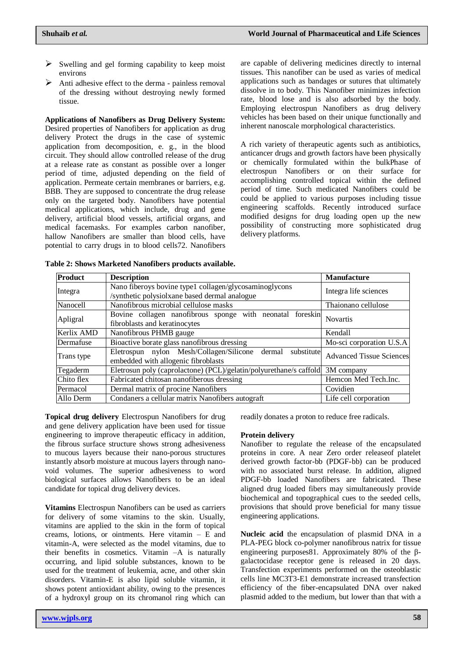- $\triangleright$  Swelling and gel forming capability to keep moist environs
- $\triangleright$  Anti adhesive effect to the derma painless removal of the dressing without destroying newly formed tissue.

**Applications of Nanofibers as Drug Delivery System:**  Desired properties of Nanofibers for application as drug delivery Protect the drugs in the case of systemic application from decomposition, e. g., in the blood circuit. They should allow controlled release of the drug at a release rate as constant as possible over a longer period of time, adjusted depending on the field of application. Permeate certain membranes or barriers, e.g. BBB. They are supposed to concentrate the drug release only on the targeted body. Nanofibers have potential medical applications, which include, drug and gene delivery, artificial blood vessels, artificial organs, and medical facemasks. For examples carbon nanofiber, hallow Nanofibers are smaller than blood cells, have potential to carry drugs in to blood cells72. Nanofibers

are capable of delivering medicines directly to internal tissues. This nanofiber can be used as varies of medical applications such as bandages or sutures that ultimately dissolve in to body. This Nanofiber minimizes infection rate, blood lose and is also adsorbed by the body. Employing electrospun Nanofibers as drug delivery vehicles has been based on their unique functionally and inherent nanoscale morphological characteristics.

A rich variety of therapeutic agents such as antibiotics, anticancer drugs and growth factors have been physically or chemically formulated within the bulkPhase of electrospun Nanofibers or on their surface for accomplishing controlled topical within the defined period of time. Such medicated Nanofibers could be could be applied to various purposes including tissue engineering scaffolds. Recently introduced surface modified designs for drug loading open up the new possibility of constructing more sophisticated drug delivery platforms.

| Product    | <b>Description</b>                                                                                      | <b>Manufacture</b>              |
|------------|---------------------------------------------------------------------------------------------------------|---------------------------------|
| Integra    | Nano fiberoys bovine type1 collagen/glycosaminoglycons<br>/synthetic polysiolxane based dermal analogue | Integra life sciences           |
| Nanocell   | Nanofibrous microbial cellulose masks                                                                   | Thaionano cellulose             |
| Apligral   | Bovine collagen nanofibrous sponge with neonatal foreskin<br>fibroblasts and keratinocytes              | Novartis                        |
| Kerlix AMD | Nanofibrous PHMB gauge                                                                                  | Kendall                         |
| Dermafuse  | Bioactive borate glass nanofibrous dressing                                                             | Mo-sci corporation U.S.A        |
| Trans type | Eletrospun nylon Mesh/Collagen/Silicone dermal<br>substitute<br>embedded with allogenic fibroblasts     | <b>Advanced Tissue Sciences</b> |
| Tegaderm   | Eletrosun poly (caprolactone) (PCL)/gelatin/polyurethane/s caffold                                      | 3M company                      |
| Chito flex | Fabricated chitosan nanofiberous dressing                                                               | Hemcon Med Tech.Inc.            |
| Permacol   | Dermal matrix of procine Nanofibers                                                                     | Covidien                        |
| Allo Derm  | Condaners a cellular matrix Nanofibers autograft                                                        | Life cell corporation           |

**Table 2: Shows Marketed Nanofibers products available.**

**Topical drug delivery** Electrospun Nanofibers for drug and gene delivery application have been used for tissue engineering to improve therapeutic efficacy in addition, the fibrous surface structure shows strong adhesiveness to mucous layers because their nano-porous structures instantly absorb moisture at mucous layers through nanovoid volumes. The superior adhesiveness to word biological surfaces allows Nanofibers to be an ideal candidate for topical drug delivery devices.

**Vitamins** Electrospun Nanofibers can be used as carriers for delivery of some vitamins to the skin. Usually, vitamins are applied to the skin in the form of topical creams, lotions, or ointments. Here vitamin  $-$  E and vitamin-A, were selected as the model vitamins, due to their benefits in cosmetics. Vitamin –A is naturally occurring, and lipid soluble substances, known to be used for the treatment of leukemia, acne, and other skin disorders. Vitamin-E is also lipid soluble vitamin, it shows potent antioxidant ability, owing to the presences of a hydroxyl group on its chromanol ring which can

readily donates a proton to reduce free radicals.

### **Protein delivery**

Nanofiber to regulate the release of the encapsulated proteins in core. A near Zero order releaseof platelet derived growth factor-bb (PDGF-bb) can be produced with no associated burst release. In addition, aligned PDGF-bb loaded Nanofibers are fabricated. These aligned drug loaded fibers may simultaneously provide biochemical and topographical cues to the seeded cells, provisions that should prove beneficial for many tissue engineering applications.

**Nucleic acid** the encapsulation of plasmid DNA in a PLA-PEG block co-polymer nanofibrous natrix for tissue engineering purposes81. Approximately 80% of the βgalactocidase receptor gene is released in 20 days. Transfection experiments performed on the osteoblastic cells line MC3T3-E1 demonstrate increased transfection efficiency of the fiber-encapsulated DNA over naked plasmid added to the medium, but lower than that with a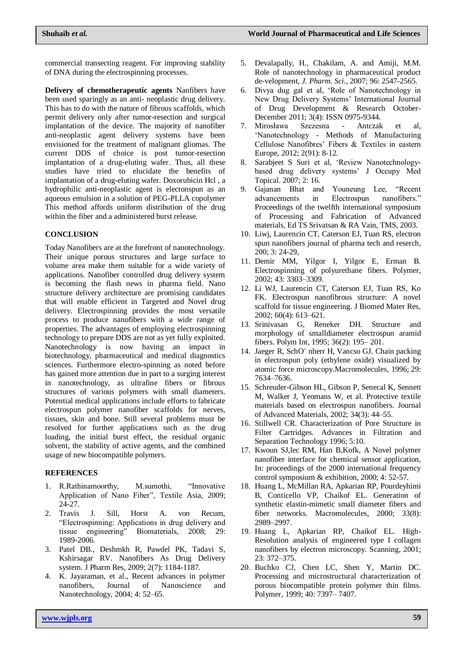commercial transecting reagent. For improving stability of DNA during the electrospinning processes.

**Delivery of chemotherapeutic agents** Nanfibers have been used sparingly as an anti- neoplastic drug delivery. This has to do with the nature of fibrous scaffolds, which permit delivery only after tumor-resection and surgical implantation of the device. The majority of nanofiber anti-neoplastic agent delivery systems have been envisioned for the treatment of malignant gliomas. The current DDS of choice is post tumor-resection implantation of a drug-eluting wafer. Thus, all these studies have tried to elucidate the benefits of implantation of a drug-eluting wafer. Doxorubicin Hcl , a hydrophilic anti-neoplastic agent is electonspun as an aqueous emulsion in a solution of PEG-PLLA copolymer This method affords uniform distribution of the drug within the fiber and a administered burst release.

# **CONCLUSION**

Today Nanofibers are at the forefront of nanotechnology. Their unique porous structures and large surface to volume area make them suitable for a wide variety of applications. Nanofiber controlled drug delivery system is becoming the flash news in pharma field. Nano structure delivery architecture are promising candidates that will enable efficient in Targeted and Novel drug delivery. Electrospinning provides the most versatile process to produce nanofibers with a wide range of properties. The advantages of employing electrospinning technology to prepare DDS are not as yet fully exploited. Nanotechnology is now having an impact in biotechnology, pharmaceutical and medical diagnostics sciences. Furthermore electro-spinning as noted before has gained more attention due in part to a surging interest in nanotechnology, as ultrafine fibers or fibrous structures of various polymers with small diameters. Potential medical applications include efforts to fabricate electrospun polymer nanofiber scaffolds for nerves, tissues, skin and bone. Still several problems must be resolved for further applications such as the drug loading, the initial burst effect, the residual organic solvent, the stability of active agents, and the combined usage of new biocompatible polymers.

# **REFERENCES**

- 1. R.Rathinamoorthy, M.sumothi, "Innovative Application of Nano Fiber", Textile Asia, 2009; 24-27.
- 2. Travis J. Sill, Horst A. von Recum, "Electrospinning: Applications in drug delivery and tissue engineering" Biomaterials, 2008; 29: 1989-2006.
- 3. Patel DB., Deshmkh R, Pawdel PK, Tadavi S, Kshirsagar RV. Nanofibers As Drug Delivery system. J Pharm Res, 2009; 2(7): 1184-1187.
- 4. K. Jayaraman, et al., Recent advances in polymer nanofibers, Journal of Nanoscience and Nanotechnology, 2004; 4: 52–65.
- 5. Devalapally, H., Chakilam, A. and Amiji, M.M. Role of nanotechnology in pharmaceutical product de-velopment, *J. Pharm. Sci.*, 2007; 96: 2547-2565.
- 6. Divya dug gal et al, "Role of Nanotechnology in New Drug Delivery Systems" International Journal of Drug Development & Research October-December 2011; 3(4): ISSN 0975-9344.
- 7. Mirosława Szczesna Antczak et al, "Nanotechnology - Methods of Manufacturing Cellulose Nanofibres' Fibers & Textiles in eastern Europe, 2012; 2(91): 8-12.
- 8. Sarabjeet S Suri et al, "Review Nanotechnologybased drug delivery systems" J Occupy Med Topical. 2007; 2: 16.
- 9. Gajanan Bhat and Youneung Lee, "Recent advancements in Electrospun nanofibers." Proceedings of the twelfth international symposium of Processing and Fabrication of Advanced materials, Ed TS Srivatsan & RA Vain, TMS, 2003.
- 10. Liwj, Laurencin CT, Caterson EJ, Tuan RS, electron spun nanofibers journal of pharma tech and reserch, 200; 3: 24-29,
- 11. Demir MM, Yilgor I, Yilgor E, Erman B. Electrospinning of polyurethane fibers. Polymer, 2002; 43: 3303–3309.
- 12. Li WJ, Laurencin CT, Caterson EJ, Tuan RS, Ko FK. Electrospun nanofibrous structure: A novel scaffold for tissue engineering. J Biomed Mater Res, 2002; 60(4): 613–621.
- 13. Srinivasan G, Reneker DH. Structure and morphology of smalldiameter electrospun aramid fibers. Polym Int, 1995; 36(2): 195– 201.
- 14. Jaeger R, SchO¨ nherr H, Vancso GJ. Chain packing in electrospun poly (ethylene oxide) visualized by atomic force microscopy.Macromolecules, 1996; 29: 7634–7636.
- 15. Schreuder-Gibson HL, Gibson P, Senecal K, Sennett M, Walker J, Yeomans W, et al. Protective textile materials based on electrospun nanofibers. Journal of Advanced Materials, 2002; 34(3): 44–55.
- 16. Stillwell CR. Characterization of Pore Structure in Filter Cartridges. Advances in Filtration and Separation Technology 1996; 5:10.
- 17. Kwoun SJ,lec RM, Han B,Kofk, A Novel polymer nanofiber interface for chemical sensor application, In: proceedings of the 2000 international frequency control symposium & exhibition, 2000; 4: 52-57.
- 18. Huang L, McMillan RA, Apkarian RP, Pourdeyhimi B, Conticello VP, Chaikof EL. Generation of synthetic elastin-mimetic small diameter fibers and fiber networks. Macromolecules, 2000; 33(8): 2989–2997.
- 19. Huang L, Apkarian RP, Chaikof EL. High-Resolution analysis of engineered type I collagen nanofibers by electron microscopy. Scanning, 2001; 23: 372–375.
- 20. Buchko CJ, Chen LC, Shen Y, Martin DC. Processing and microstructural characterization of porous biocompatible protein polymer thin films. Polymer, 1999; 40: 7397– 7407.